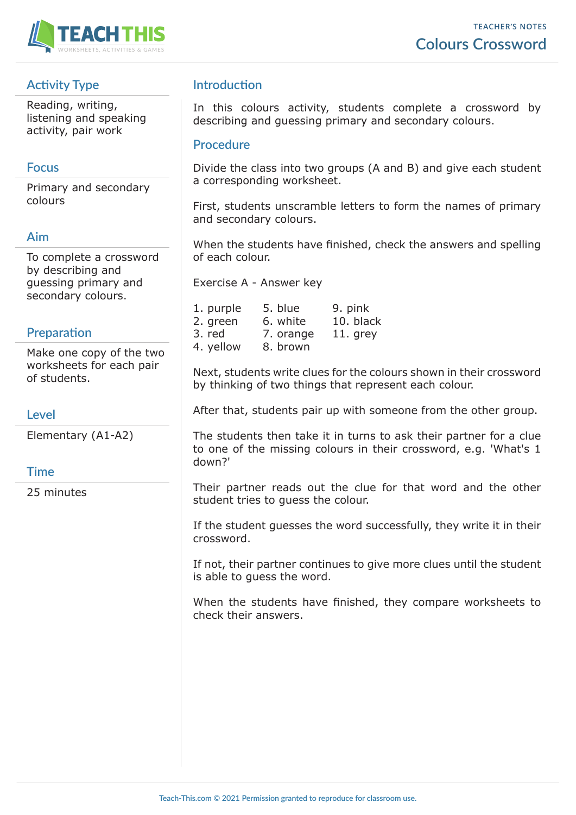

# **Activity Type**

Reading, writing, listening and speaking activity, pair work

### **Focus**

Primary and secondary colours

## **Aim**

To complete a crossword by describing and guessing primary and secondary colours.

### **Preparation**

Make one copy of the two worksheets for each pair of students.

### **Level**

Elementary (A1-A2)

### **Time**

25 minutes

# **Introduction**

In this colours activity, students complete a crossword by describing and guessing primary and secondary colours.

#### **Procedure**

Divide the class into two groups (A and B) and give each student a corresponding worksheet.

First, students unscramble letters to form the names of primary and secondary colours.

When the students have finished, check the answers and spelling of each colour.

Exercise A - Answer key

| 1. purple | 5. blue   | 9. pink    |
|-----------|-----------|------------|
| 2. green  | 6. white  | 10. black  |
| 3. red    | 7. orange | $11.$ grey |
| 4. yellow | 8. brown  |            |

Next, students write clues for the colours shown in their crossword by thinking of two things that represent each colour.

After that, students pair up with someone from the other group.

The students then take it in turns to ask their partner for a clue to one of the missing colours in their crossword, e.g. 'What's 1 down?'

Their partner reads out the clue for that word and the other student tries to guess the colour.

If the student guesses the word successfully, they write it in their crossword.

If not, their partner continues to give more clues until the student is able to guess the word.

When the students have finished, they compare worksheets to check their answers.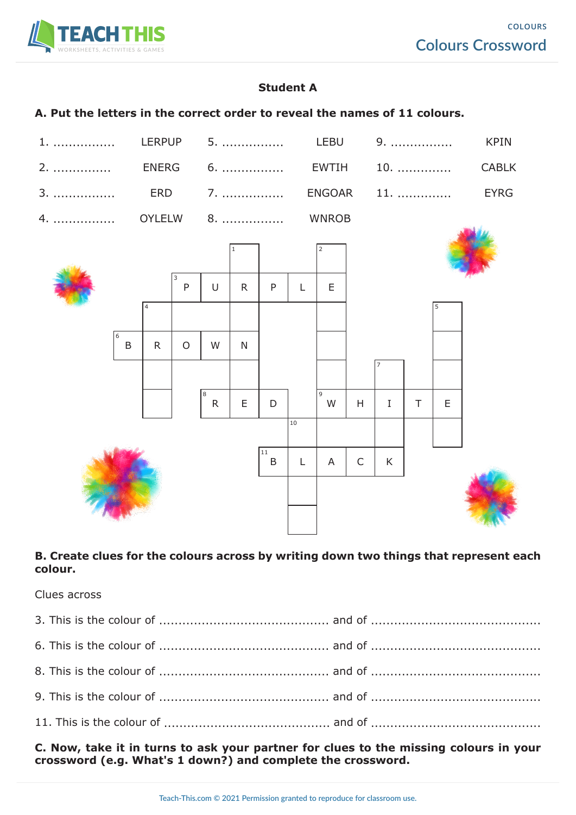

## **Student A**

#### **A. Put the letters in the correct order to reveal the names of 11 colours.**



#### **B. Create clues for the colours across by writing down two things that represent each colour.**

Clues across

**C. Now, take it in turns to ask your partner for clues to the missing colours in your crossword (e.g. What's 1 down?) and complete the crossword.**